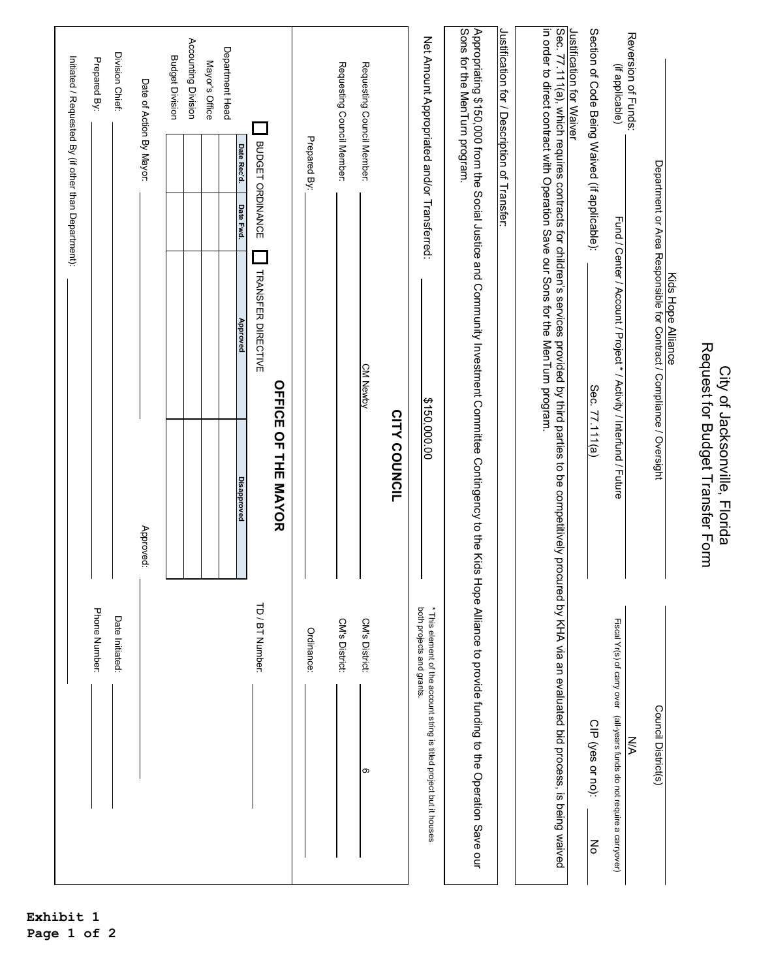|                                                                                                                                                                              |                                                                                                            |                                                                                   | Initiated / Requested By (if other than Department): |                                               |
|------------------------------------------------------------------------------------------------------------------------------------------------------------------------------|------------------------------------------------------------------------------------------------------------|-----------------------------------------------------------------------------------|------------------------------------------------------|-----------------------------------------------|
| Phone Number:                                                                                                                                                                |                                                                                                            |                                                                                   |                                                      | Prepared By:                                  |
| Date Initiated:                                                                                                                                                              |                                                                                                            |                                                                                   |                                                      | Division Chief:                               |
|                                                                                                                                                                              | Approved:                                                                                                  |                                                                                   |                                                      | Date of Action By Mayor:                      |
|                                                                                                                                                                              |                                                                                                            |                                                                                   |                                                      | <b>Budget Division</b>                        |
|                                                                                                                                                                              |                                                                                                            |                                                                                   |                                                      | Accounting Division                           |
|                                                                                                                                                                              |                                                                                                            |                                                                                   |                                                      | Mayor's Office                                |
|                                                                                                                                                                              | <b>Disapproved</b>                                                                                         | Approved                                                                          | Date Rec'd.<br>Date Fwd.                             | Department Head                               |
| TD / BT Number:                                                                                                                                                              |                                                                                                            | <b>TRANSFER DIRECTIVE</b>                                                         | <b>BUDGET ORDINANCE</b>                              |                                               |
|                                                                                                                                                                              | <b>OFFICE OF THE MAYOR</b>                                                                                 |                                                                                   |                                                      |                                               |
| Ordinance:                                                                                                                                                                   |                                                                                                            |                                                                                   | Prepared By:                                         |                                               |
| CM's District:                                                                                                                                                               |                                                                                                            |                                                                                   |                                                      | Requesting Council Member:                    |
| CM's District:<br>တ                                                                                                                                                          |                                                                                                            | <b>CM Newby</b>                                                                   |                                                      | Requesting Council Member:                    |
|                                                                                                                                                                              | <b>CITY COUNCIL</b>                                                                                        |                                                                                   |                                                      |                                               |
| * This element of the account string is titled project but it houses<br>both projects and grants.                                                                            | \$150,000.00                                                                                               |                                                                                   |                                                      | Net Amount Appropriated and/or Transferred:   |
| Hope Alliance to provide funding to the Operation Save our                                                                                                                   | Appropriating \$150,000 from the Social Justice and Community Investment Committee Contingency to the Kids |                                                                                   |                                                      | Sons for the MenTurn program.                 |
|                                                                                                                                                                              |                                                                                                            |                                                                                   |                                                      | Justification for / Description of Transfer:  |
| Sec. 77.111(a), which requires contracts for children's services provided by third parties to be competitively procured by KHA via an evaluated bid process, is being waived |                                                                                                            | in order to direct contract with Operation Save our Sons for the MenTurn program. |                                                      |                                               |
|                                                                                                                                                                              |                                                                                                            |                                                                                   |                                                      | Justification for Waiver                      |
| CIP (yes or no):<br>Ko                                                                                                                                                       | Sec. 77.111(a)                                                                                             |                                                                                   |                                                      | Section of Code Being Waived (if applicable): |
| Fiscal Yr(s) of carry over (all-years funds do not require a carryover)<br>N<br>D                                                                                            |                                                                                                            | Fund / Center / Account / Project * / Activity / Interfund / Future               |                                                      | Reversion of Funds:<br>(if applicable)        |
| Council District(s)                                                                                                                                                          |                                                                                                            | Department or Area Responsible for Contract / Compliance / Oversight              |                                                      |                                               |
|                                                                                                                                                                              |                                                                                                            | Kids Hope Alliance                                                                |                                                      |                                               |
|                                                                                                                                                                              | Request for Budget Transfer Form<br>City of Jacksonville, Florida                                          |                                                                                   |                                                      |                                               |